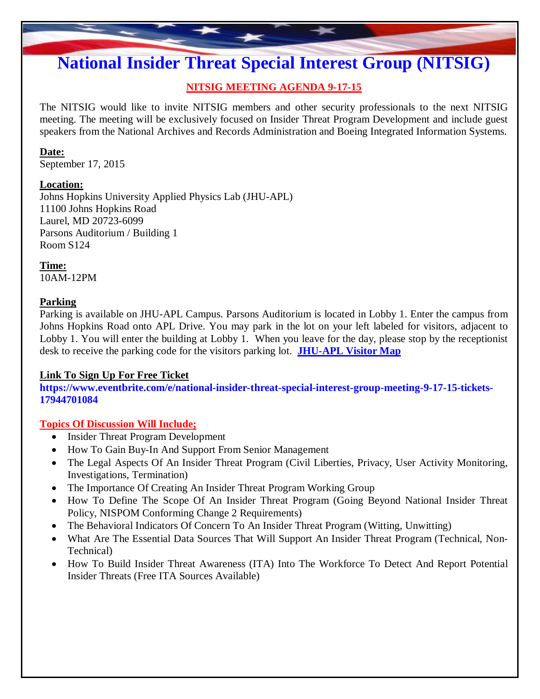# **National Insider Threat Special Interest Group (NITSIG)**

## **NITSIG MEETING AGENDA 9-17-15**

The NITSIG would like to invite NITSIG members and other security professionals to the next NITSIG meeting. The meeting will be exclusively focused on Insider Threat Program Development and include guest speakers from the National Archives and Records Administration and Boeing Integrated Information Systems.

#### **Date:**

September 17, 2015

## **Location:**

Johns Hopkins University Applied Physics Lab (JHU-APL) 11100 Johns Hopkins Road Laurel, MD 20723-6099 Parsons Auditorium / Building 1 Room S124

**Time:** 10AM-12PM

#### **Parking**

Parking is available on JHU-APL Campus. Parsons Auditorium is located in Lobby 1. Enter the campus from Johns Hopkins Road onto APL Drive. You may park in the lot on your left labeled for visitors, adjacent to Lobby 1. You will enter the building at Lobby 1. When you leave for the day, please stop by the receptionist desk to receive the parking code for the visitors parking lot. **[JHU-APL](http://www.nationalinsiderthreatsig.org/pdfs/JHU APL Campus Map.pdf) Visitor Map**

## **Link To Sign Up For Free Ticket**

**[https://www.eventbrite.com/e/national-insider-threat-special-interest-group-meeting-9-17-15-tickets-](https://www.eventbrite.com/e/national-insider-threat-special-interest-group-meeting-9-17-15-tickets-17944701084)17944701084**

## **Topics Of Discussion Will Include;**

- Insider Threat Program Development
- How To Gain Buy-In And Support From Senior Management
- The Legal Aspects Of An Insider Threat Program (Civil Liberties, Privacy, User Activity Monitoring, Investigations, Termination)
- The Importance Of Creating An Insider Threat Program Working Group
- How To Define The Scope Of An Insider Threat Program (Going Beyond National Insider Threat Policy, NISPOM Conforming Change 2 Requirements)
- The Behavioral Indicators Of Concern To An Insider Threat Program (Witting, Unwitting)
- What Are The Essential Data Sources That Will Support An Insider Threat Program (Technical, Non-Technical)
- How To Build Insider Threat Awareness (ITA) Into The Workforce To Detect And Report Potential Insider Threats (Free ITA Sources Available)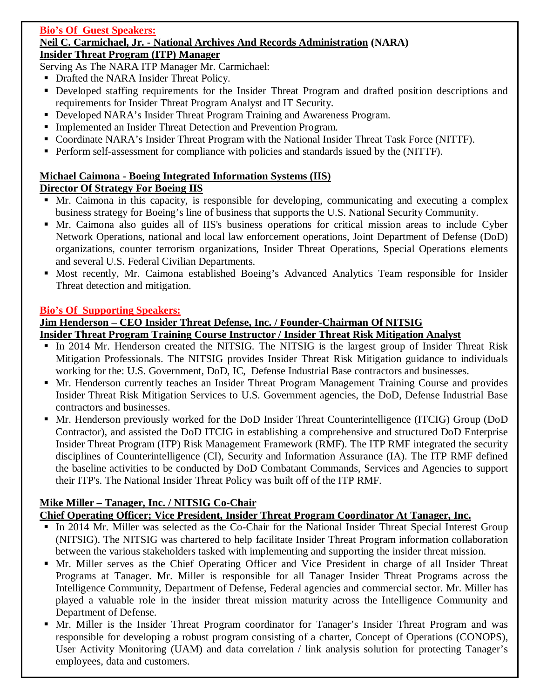#### **Bio's Of Guest Speakers: Neil C. Carmichael, Jr. - National Archives And Records Administration (NARA) Insider Threat Program (ITP) Manager**

Serving As The NARA ITP Manager Mr. Carmichael:

- Drafted the NARA Insider Threat Policy.
- **•** Developed staffing requirements for the Insider Threat Program and drafted position descriptions and requirements for Insider Threat Program Analyst and IT Security.
- Developed NARA's Insider Threat Program Training and Awareness Program.
- Implemented an Insider Threat Detection and Prevention Program.
- Coordinate NARA's Insider Threat Program with the National Insider Threat Task Force (NITTF).
- Perform self-assessment for compliance with policies and standards issued by the (NITTF).

## **Michael Caimona - Boeing Integrated Information Systems (IIS)**

## **Director Of Strategy For Boeing IIS**

- Mr. Caimona in this capacity, is responsible for developing, communicating and executing a complex business strategy for Boeing's line of business that supports the U.S. National Security Community.
- Mr. Caimona also guides all of IIS's business operations for critical mission areas to include Cyber Network Operations, national and local law enforcement operations, Joint Department of Defense (DoD) organizations, counter terrorism organizations, Insider Threat Operations, Special Operations elements and several U.S. Federal Civilian Departments.
- Most recently, Mr. Caimona established Boeing's Advanced Analytics Team responsible for Insider Threat detection and mitigation.

## **Bio's Of Supporting Speakers:**

## **Jim Henderson – CEO Insider Threat Defense, Inc. / Founder-Chairman Of NITSIG**

## **Insider Threat Program Training Course Instructor / Insider Threat Risk Mitigation Analyst**

- In 2014 Mr. Henderson created the NITSIG. The NITSIG is the largest group of Insider Threat Risk Mitigation Professionals. The NITSIG provides Insider Threat Risk Mitigation guidance to individuals working for the: U.S. Government, DoD, IC, Defense Industrial Base contractors and businesses.
- Mr. Henderson currently teaches an Insider Threat Program Management Training Course and provides Insider Threat Risk Mitigation Services to U.S. Government agencies, the DoD, Defense Industrial Base contractors and businesses.
- Mr. Henderson previously worked for the DoD Insider Threat Counterintelligence (ITCIG) Group (DoD Contractor), and assisted the DoD ITCIG in establishing a comprehensive and structured DoD Enterprise Insider Threat Program (ITP) Risk Management Framework (RMF). The ITP RMF integrated the security disciplines of Counterintelligence (CI), Security and Information Assurance (IA). The ITP RMF defined the baseline activities to be conducted by DoD Combatant Commands, Services and Agencies to support their ITP's. The National Insider Threat Policy was built off of the ITP RMF.

## **Mike Miller – Tanager, Inc. / NITSIG Co-Chair**

## **Chief Operating Officer; Vice President, Insider Threat Program Coordinator At Tanager, Inc.**

- In 2014 Mr. Miller was selected as the Co-Chair for the National Insider Threat Special Interest Group (NITSIG). The NITSIG was chartered to help facilitate Insider Threat Program information collaboration between the various stakeholders tasked with implementing and supporting the insider threat mission.
- Mr. Miller serves as the Chief Operating Officer and Vice President in charge of all Insider Threat Programs at Tanager. Mr. Miller is responsible for all Tanager Insider Threat Programs across the Intelligence Community, Department of Defense, Federal agencies and commercial sector. Mr. Miller has played a valuable role in the insider threat mission maturity across the Intelligence Community and Department of Defense.
- Mr. Miller is the Insider Threat Program coordinator for Tanager's Insider Threat Program and was responsible for developing a robust program consisting of a charter, Concept of Operations (CONOPS), User Activity Monitoring (UAM) and data correlation / link analysis solution for protecting Tanager's employees, data and customers.